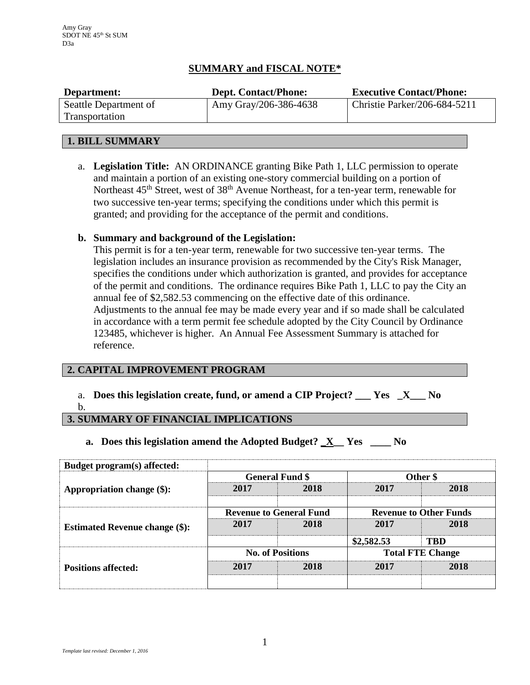# **SUMMARY and FISCAL NOTE\***

| Department:                             | <b>Dept. Contact/Phone:</b> | <b>Executive Contact/Phone:</b> |
|-----------------------------------------|-----------------------------|---------------------------------|
| Seattle Department of<br>Transportation | Amy Gray/206-386-4638       | Christie Parker/206-684-5211    |
|                                         |                             |                                 |

## **1. BILL SUMMARY**

a. **Legislation Title:** AN ORDINANCE granting Bike Path 1, LLC permission to operate and maintain a portion of an existing one-story commercial building on a portion of Northeast 45<sup>th</sup> Street, west of 38<sup>th</sup> Avenue Northeast, for a ten-year term, renewable for two successive ten-year terms; specifying the conditions under which this permit is granted; and providing for the acceptance of the permit and conditions.

# **b. Summary and background of the Legislation:**

This permit is for a ten-year term, renewable for two successive ten-year terms. The legislation includes an insurance provision as recommended by the City's Risk Manager, specifies the conditions under which authorization is granted, and provides for acceptance of the permit and conditions. The ordinance requires Bike Path 1, LLC to pay the City an annual fee of \$2,582.53 commencing on the effective date of this ordinance. Adjustments to the annual fee may be made every year and if so made shall be calculated in accordance with a term permit fee schedule adopted by the City Council by Ordinance 123485, whichever is higher. An Annual Fee Assessment Summary is attached for reference.

## **2. CAPITAL IMPROVEMENT PROGRAM**

a. **Does this legislation create, fund, or amend a CIP Project? \_\_\_ Yes \_X\_\_\_ No**

b.

# **3. SUMMARY OF FINANCIAL IMPLICATIONS**

**a. Does this legislation amend the Adopted Budget? \_X\_\_ Yes \_\_\_\_ No**

| Budget program(s) affected:           |                                |      |                               |            |
|---------------------------------------|--------------------------------|------|-------------------------------|------------|
| Appropriation change (\$):            | <b>General Fund \$</b>         |      | Other \$                      |            |
|                                       | 2017                           | 2018 | 2017                          | 2018       |
|                                       |                                |      |                               |            |
| <b>Estimated Revenue change (\$):</b> | <b>Revenue to General Fund</b> |      | <b>Revenue to Other Funds</b> |            |
|                                       | 2017                           | 2018 | 2017                          | 2018       |
|                                       |                                |      | \$2,582.53                    | <b>TBD</b> |
| <b>Positions affected:</b>            | <b>No. of Positions</b>        |      | <b>Total FTE Change</b>       |            |
|                                       | 2017                           | 2018 | 2017                          | 2018       |
|                                       |                                |      |                               |            |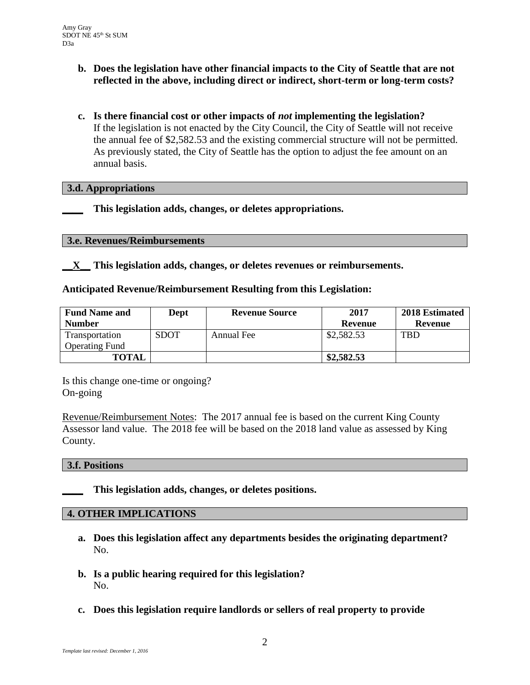- **b. Does the legislation have other financial impacts to the City of Seattle that are not reflected in the above, including direct or indirect, short-term or long-term costs?**
- **c. Is there financial cost or other impacts of** *not* **implementing the legislation?** If the legislation is not enacted by the City Council, the City of Seattle will not receive the annual fee of \$2,582.53 and the existing commercial structure will not be permitted. As previously stated, the City of Seattle has the option to adjust the fee amount on an annual basis.

## **3.d. Appropriations**

**\_\_\_\_ This legislation adds, changes, or deletes appropriations.**

#### **3.e. Revenues/Reimbursements**

**\_\_X\_\_ This legislation adds, changes, or deletes revenues or reimbursements.**

### **Anticipated Revenue/Reimbursement Resulting from this Legislation:**

| <b>Fund Name and</b>  | Dept        | <b>Revenue Source</b> | 2017       | 2018 Estimated |
|-----------------------|-------------|-----------------------|------------|----------------|
| <b>Number</b>         |             |                       | Revenue    | Revenue        |
| Transportation        | <b>SDOT</b> | Annual Fee            | \$2,582.53 | TBD            |
| <b>Operating Fund</b> |             |                       |            |                |
| <b>TOTAL</b>          |             |                       | \$2,582.53 |                |

Is this change one-time or ongoing? On-going

Revenue/Reimbursement Notes: The 2017 annual fee is based on the current King County Assessor land value. The 2018 fee will be based on the 2018 land value as assessed by King County.

#### **3.f. Positions**

**\_\_\_\_ This legislation adds, changes, or deletes positions.**

#### **4. OTHER IMPLICATIONS**

- **a. Does this legislation affect any departments besides the originating department?** No.
- **b. Is a public hearing required for this legislation?** No.
- **c. Does this legislation require landlords or sellers of real property to provide**